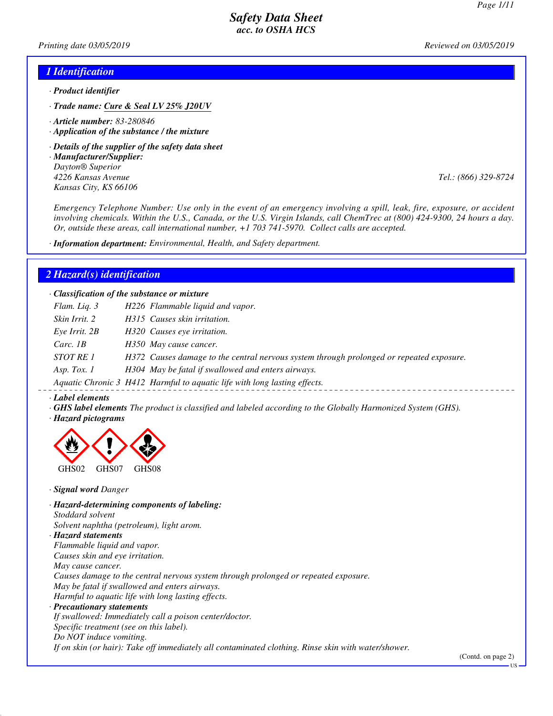*Printing date 03/05/2019 Reviewed on 03/05/2019*

### *1 Identification*

- *· Product identifier*
- *· Trade name: Cure & Seal LV 25% J20UV*
- *· Article number: 83-280846*
- *· Application of the substance / the mixture*
- *· Details of the supplier of the safety data sheet*
- *· Manufacturer/Supplier: Dayton® Superior 4226 Kansas Avenue Tel.: (866) 329-8724 Kansas City, KS 66106*

*Emergency Telephone Number: Use only in the event of an emergency involving a spill, leak, fire, exposure, or accident involving chemicals. Within the U.S., Canada, or the U.S. Virgin Islands, call ChemTrec at (800) 424-9300, 24 hours a day. Or, outside these areas, call international number, +1 703 741-5970. Collect calls are accepted.*

*· Information department: Environmental, Health, and Safety department.*

### *2 Hazard(s) identification*

*· Classification of the substance or mixture*

| Flam. Liq. 3      | H226 Flammable liquid and vapor.                                                         |
|-------------------|------------------------------------------------------------------------------------------|
| Skin Irrit. 2     | H315 Causes skin irritation.                                                             |
| $Eye$ Irrit. $2B$ | H320 Causes eye irritation.                                                              |
| Carc. $1B$        | H350 May cause cancer.                                                                   |
| STOT RE 1         | H372 Causes damage to the central nervous system through prolonged or repeated exposure. |
| Asp. Tox. $1$     | H304 May be fatal if swallowed and enters airways.                                       |
|                   | Aquatic Chronic 3 H412 Harmful to aquatic life with long lasting effects.                |

#### *· Label elements*

- *· GHS label elements The product is classified and labeled according to the Globally Harmonized System (GHS).*
- *· Hazard pictograms*



*· Signal word Danger*

*· Hazard-determining components of labeling: Stoddard solvent Solvent naphtha (petroleum), light arom. · Hazard statements Flammable liquid and vapor. Causes skin and eye irritation. May cause cancer. Causes damage to the central nervous system through prolonged or repeated exposure. May be fatal if swallowed and enters airways. Harmful to aquatic life with long lasting effects. · Precautionary statements If swallowed: Immediately call a poison center/doctor. Specific treatment (see on this label). Do NOT induce vomiting.*

*If on skin (or hair): Take off immediately all contaminated clothing. Rinse skin with water/shower.*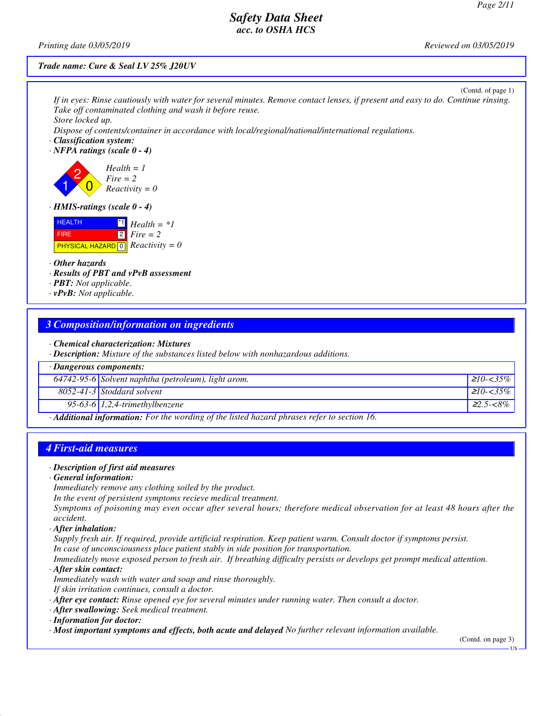*Printing date 03/05/2019 Reviewed on 03/05/2019*

#### *Trade name: Cure & Seal LV 25% J20UV*

| (Contd. of page 1)<br>If in eyes: Rinse cautiously with water for several minutes. Remove contact lenses, if present and easy to do. Continue rinsing.<br>Take off contaminated clothing and wash it before reuse.<br>Store locked up.<br>Dispose of contents/container in accordance with local/regional/national/international regulations.<br>· Classification system:<br>$\cdot$ NFPA ratings (scale 0 - 4) |
|-----------------------------------------------------------------------------------------------------------------------------------------------------------------------------------------------------------------------------------------------------------------------------------------------------------------------------------------------------------------------------------------------------------------|
| $Health = 1$<br>$Fire = 2$<br>$Reactivity = 0$                                                                                                                                                                                                                                                                                                                                                                  |
| $\cdot$ HMIS-ratings (scale 0 - 4)                                                                                                                                                                                                                                                                                                                                                                              |
| <b>HEALTH</b><br>$Health = *1$<br>$\boxed{2}$ Fire = 2<br><b>FIRE</b><br><b>PHYSICAL HAZARD</b> $\boxed{0}$ <i>Reactivity</i> = 0                                                                                                                                                                                                                                                                               |
| • Other hazards                                                                                                                                                                                                                                                                                                                                                                                                 |
| · Results of PBT and vPvB assessment                                                                                                                                                                                                                                                                                                                                                                            |
| $\cdot$ <b>PBT:</b> Not applicable.<br>$\cdot$ vPvB: Not applicable.                                                                                                                                                                                                                                                                                                                                            |
|                                                                                                                                                                                                                                                                                                                                                                                                                 |
| <b>3 Composition/information on ingredients</b>                                                                                                                                                                                                                                                                                                                                                                 |
| • Chemical characterization: Mixtures<br>· Description: Mixture of the substances listed below with nonhazardous additions.                                                                                                                                                                                                                                                                                     |

| $\cdot$ Dangerous components:                                                                            |                                                     |                  |
|----------------------------------------------------------------------------------------------------------|-----------------------------------------------------|------------------|
|                                                                                                          | 64742-95-6 Solvent naphtha (petroleum), light arom. | $210 - 35\%$     |
|                                                                                                          | $8052 - 41 - 3$ Stoddard solvent                    | $210 - 35\%$     |
|                                                                                                          | 95-63-6 $1,2,4$ -trimethylbenzene                   | $\geq 2.5 - 8\%$ |
| $\cdot$ <b>Additional information:</b> For the wording of the listed hazard phrases refer to section 16. |                                                     |                  |

# *4 First-aid measures*

## *· Description of first aid measures*

## *· General information:*

*Immediately remove any clothing soiled by the product.*

*In the event of persistent symptoms recieve medical treatment.*

*Symptoms of poisoning may even occur after several hours; therefore medical observation for at least 48 hours after the accident.*

# *· After inhalation:*

*Supply fresh air. If required, provide artificial respiration. Keep patient warm. Consult doctor if symptoms persist. In case of unconsciousness place patient stably in side position for transportation.*

*Immediately move exposed person to fresh air. If breathing difficulty persists or develops get prompt medical attention. · After skin contact:*

*Immediately wash with water and soap and rinse thoroughly.*

*If skin irritation continues, consult a doctor.*

- *· After eye contact: Rinse opened eye for several minutes under running water. Then consult a doctor.*
- *· After swallowing: Seek medical treatment.*

*· Information for doctor:*

*· Most important symptoms and effects, both acute and delayed No further relevant information available.*

(Contd. on page 3)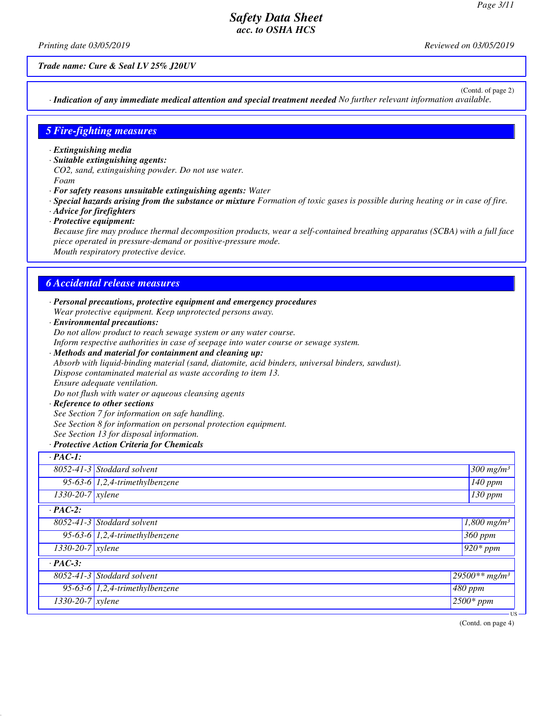*Printing date 03/05/2019 Reviewed on 03/05/2019*

*Trade name: Cure & Seal LV 25% J20UV*

(Contd. of page 2)

*· Indication of any immediate medical attention and special treatment needed No further relevant information available.*

### *5 Fire-fighting measures*

- *· Extinguishing media*
- *· Suitable extinguishing agents:*
- *CO2, sand, extinguishing powder. Do not use water.*
- *Foam*
- *· For safety reasons unsuitable extinguishing agents: Water*
- *· Special hazards arising from the substance or mixture Formation of toxic gases is possible during heating or in case of fire.*
- *· Advice for firefighters*
- *· Protective equipment:*

*Because fire may produce thermal decomposition products, wear a self-contained breathing apparatus (SCBA) with a full face piece operated in pressure-demand or positive-pressure mode. Mouth respiratory protective device.*

### *6 Accidental release measures*

- *· Personal precautions, protective equipment and emergency procedures Wear protective equipment. Keep unprotected persons away.*
- *· Environmental precautions:*

*Do not allow product to reach sewage system or any water course.*

*Inform respective authorities in case of seepage into water course or sewage system.*

*· Methods and material for containment and cleaning up:*

*Absorb with liquid-binding material (sand, diatomite, acid binders, universal binders, sawdust).*

*Dispose contaminated material as waste according to item 13.*

*Ensure adequate ventilation.*

*Do not flush with water or aqueous cleansing agents*

*· Reference to other sections See Section 7 for information on safe handling. See Section 8 for information on personal protection equipment. See Section 13 for disposal information.*

#### *· Protective Action Criteria for Chemicals*

| $\cdot$ PAC-1:     |                                   |                                  |
|--------------------|-----------------------------------|----------------------------------|
|                    | 8052-41-3 Stoddard solvent        | $\frac{300 \text{ mg/m}^3}{ }$   |
|                    | 95-63-6 $1,2,4$ -trimethylbenzene | $\sqrt{140}$ ppm                 |
| $1330-20-7$ xylene |                                   | 130 ppm                          |
| $\cdot$ PAC-2:     |                                   |                                  |
|                    | 8052-41-3 Stoddard solvent        | $\sqrt{1,800}$ mg/m <sup>3</sup> |
|                    | 95-63-6 $1,2,4$ -trimethylbenzene | 360 ppm                          |
| $1330-20-7$ xylene |                                   | $\sqrt{920*ppm}$                 |
| $\cdot$ PAC-3:     |                                   |                                  |
|                    | 8052-41-3 Stoddard solvent        | $29500**mg/m^3$                  |
|                    | 95-63-6 $1,2,4$ -trimethylbenzene | $480$ ppm                        |
| 1330-20-7 xylene   |                                   | $2500*ppm$                       |
|                    |                                   | - US                             |

(Contd. on page 4)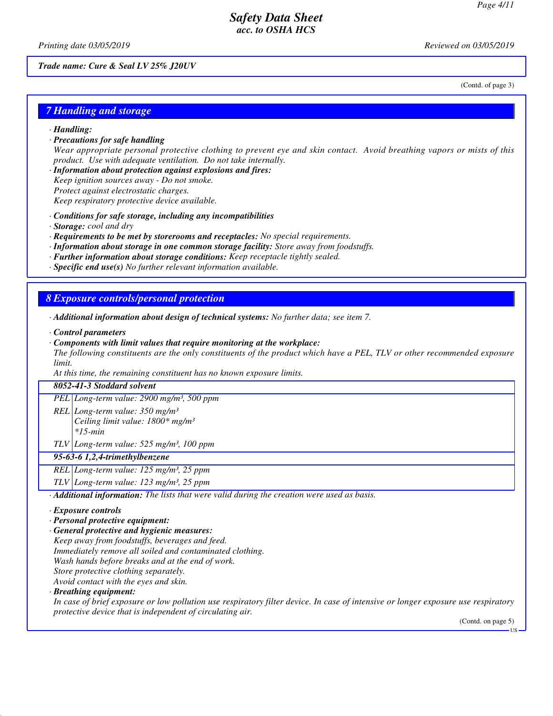(Contd. of page 3)

# *Safety Data Sheet acc. to OSHA HCS*

*Printing date 03/05/2019 Reviewed on 03/05/2019*

*Trade name: Cure & Seal LV 25% J20UV*

### *7 Handling and storage*

- *· Handling:*
- *· Precautions for safe handling*

*Wear appropriate personal protective clothing to prevent eye and skin contact. Avoid breathing vapors or mists of this product. Use with adequate ventilation. Do not take internally.*

*· Information about protection against explosions and fires: Keep ignition sources away - Do not smoke. Protect against electrostatic charges.*

*Keep respiratory protective device available.*

- *· Conditions for safe storage, including any incompatibilities*
- *· Storage: cool and dry*
- *· Requirements to be met by storerooms and receptacles: No special requirements.*
- *· Information about storage in one common storage facility: Store away from foodstuffs.*
- *· Further information about storage conditions: Keep receptacle tightly sealed.*
- *· Specific end use(s) No further relevant information available.*

### *8 Exposure controls/personal protection*

- *· Additional information about design of technical systems: No further data; see item 7.*
- *· Control parameters*
- *· Components with limit values that require monitoring at the workplace:*

*The following constituents are the only constituents of the product which have a PEL, TLV or other recommended exposure limit.*

*At this time, the remaining constituent has no known exposure limits.*

### *8052-41-3 Stoddard solvent*

*PEL Long-term value: 2900 mg/m³, 500 ppm*

- *REL Long-term value: 350 mg/m³ Ceiling limit value: 1800\* mg/m³ \*15-min*
- *TLV Long-term value: 525 mg/m³, 100 ppm*

#### *95-63-6 1,2,4-trimethylbenzene*

*REL Long-term value: 125 mg/m³, 25 ppm*

*TLV Long-term value: 123 mg/m³, 25 ppm*

*· Additional information: The lists that were valid during the creation were used as basis.*

#### *· Exposure controls*

*· Personal protective equipment:*

*· General protective and hygienic measures:*

*Keep away from foodstuffs, beverages and feed.*

*Immediately remove all soiled and contaminated clothing.*

*Wash hands before breaks and at the end of work.*

*Store protective clothing separately.*

*Avoid contact with the eyes and skin.*

*· Breathing equipment:*

*In case of brief exposure or low pollution use respiratory filter device. In case of intensive or longer exposure use respiratory protective device that is independent of circulating air.*

(Contd. on page 5)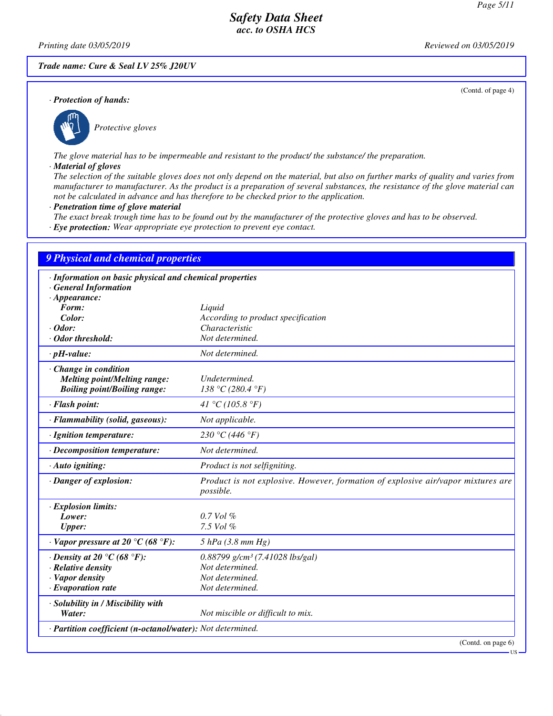(Contd. of page 4)

# *Safety Data Sheet acc. to OSHA HCS*

*Printing date 03/05/2019 Reviewed on 03/05/2019*

*Trade name: Cure & Seal LV 25% J20UV*

*· Protection of hands:*



*Protective gloves*

*The glove material has to be impermeable and resistant to the product/ the substance/ the preparation.*

#### *· Material of gloves*

*The selection of the suitable gloves does not only depend on the material, but also on further marks of quality and varies from manufacturer to manufacturer. As the product is a preparation of several substances, the resistance of the glove material can not be calculated in advance and has therefore to be checked prior to the application.*

- *· Penetration time of glove material*
- *The exact break trough time has to be found out by the manufacturer of the protective gloves and has to be observed.*
- *· Eye protection: Wear appropriate eye protection to prevent eye contact.*

## *9 Physical and chemical properties*

| · Information on basic physical and chemical properties<br><b>General Information</b> |                                                                                               |
|---------------------------------------------------------------------------------------|-----------------------------------------------------------------------------------------------|
| $\cdot$ Appearance:                                                                   |                                                                                               |
| Form:                                                                                 | Liquid                                                                                        |
| Color:                                                                                | According to product specification                                                            |
| $\cdot$ Odor:                                                                         | Characteristic                                                                                |
| · Odor threshold:                                                                     | Not determined.                                                                               |
|                                                                                       |                                                                                               |
| $\cdot$ pH-value:                                                                     | Not determined.                                                                               |
| Change in condition                                                                   |                                                                                               |
| <b>Melting point/Melting range:</b>                                                   | Undetermined.                                                                                 |
| <b>Boiling point/Boiling range:</b>                                                   | 138 °C (280.4 °F)                                                                             |
| · Flash point:                                                                        | 41 °C (105.8 °F)                                                                              |
| · Flammability (solid, gaseous):                                                      | Not applicable.                                                                               |
| · Ignition temperature:                                                               | 230 °C (446 °F)                                                                               |
| $\cdot$ Decomposition temperature:                                                    | Not determined.                                                                               |
| · Auto igniting:                                                                      | Product is not selfigniting.                                                                  |
| · Danger of explosion:                                                                | Product is not explosive. However, formation of explosive air/vapor mixtures are<br>possible. |
| · Explosion limits:                                                                   |                                                                                               |
| Lower:                                                                                | $0.7$ Vol $%$                                                                                 |
| <b>Upper:</b>                                                                         | 7.5 Vol %                                                                                     |
| $\cdot$ Vapor pressure at 20 °C (68 °F):                                              | $5$ hPa (3.8 mm Hg)                                                                           |
| $\cdot$ Density at 20 $\degree$ C (68 $\degree$ F):                                   | $0.88799$ g/cm <sup>3</sup> (7.41028 lbs/gal)                                                 |
| · Relative density                                                                    | Not determined.                                                                               |
| · Vapor density                                                                       | Not determined.                                                                               |
| $\cdot$ Evaporation rate                                                              | Not determined.                                                                               |
| · Solubility in / Miscibility with                                                    |                                                                                               |
| Water:                                                                                | Not miscible or difficult to mix.                                                             |
| · Partition coefficient (n-octanol/water): Not determined.                            |                                                                                               |
|                                                                                       | (Contd. on page 6)                                                                            |

US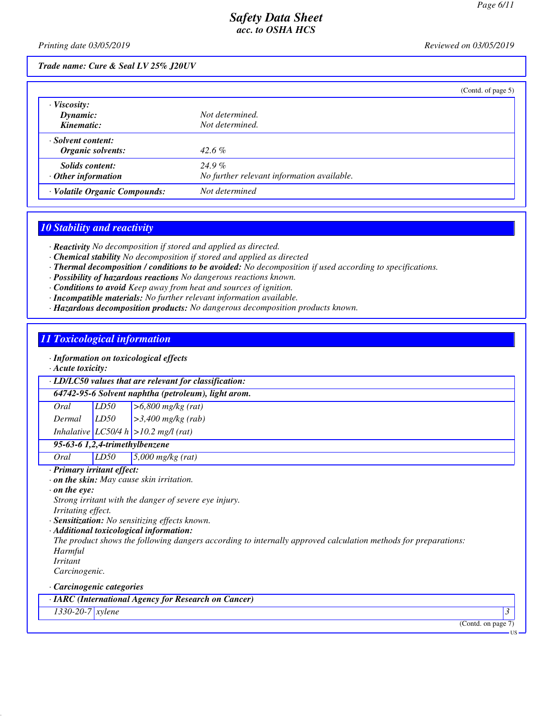*Printing date 03/05/2019 Reviewed on 03/05/2019*

### *Trade name: Cure & Seal LV 25% J20UV*

|                               | (Cond. of page 5)                          |
|-------------------------------|--------------------------------------------|
| $\cdot$ Viscosity:            |                                            |
| Dynamic:                      | Not determined.                            |
| Kinematic:                    | Not determined.                            |
| · Solvent content:            |                                            |
| Organic solvents:             | $42.6\%$                                   |
| Solids content:               | $24.9\%$                                   |
| $\cdot$ Other information     | No further relevant information available. |
| · Volatile Organic Compounds: | Not determined                             |

## *10 Stability and reactivity*

*· Reactivity No decomposition if stored and applied as directed.*

- *· Chemical stability No decomposition if stored and applied as directed*
- *· Thermal decomposition / conditions to be avoided: No decomposition if used according to specifications.*
- *· Possibility of hazardous reactions No dangerous reactions known.*
- *· Conditions to avoid Keep away from heat and sources of ignition.*
- *· Incompatible materials: No further relevant information available.*
- *· Hazardous decomposition products: No dangerous decomposition products known.*

## *11 Toxicological information*

# *· Information on toxicological effects*

*· Acute toxicity:*

*64742-95-6 Solvent naphtha (petroleum), light arom.*

| Oral   | LD50 | $\approx$ 56,800 mg/kg $(\overline{rat})$ |
|--------|------|-------------------------------------------|
| Dermal | LD50 | $\vert$ >3,400 mg/kg (rab)                |

*Inhalative LC50/4 h >10.2 mg/l (rat)*

## *95-63-6 1,2,4-trimethylbenzene*

*Oral LD50 5,000 mg/kg (rat)*

#### *· Primary irritant effect:*

- *· on the skin: May cause skin irritation.*
- *· on the eye:*
- *Strong irritant with the danger of severe eye injury. Irritating effect.*
- *· Sensitization: No sensitizing effects known.*
- *· Additional toxicological information:*

*The product shows the following dangers according to internally approved calculation methods for preparations: Harmful*

*Irritant*

*Carcinogenic.*

#### *· Carcinogenic categories*

*· IARC (International Agency for Research on Cancer)*

### *1330-20-7 xylene 3*

(Contd. on page 7)

US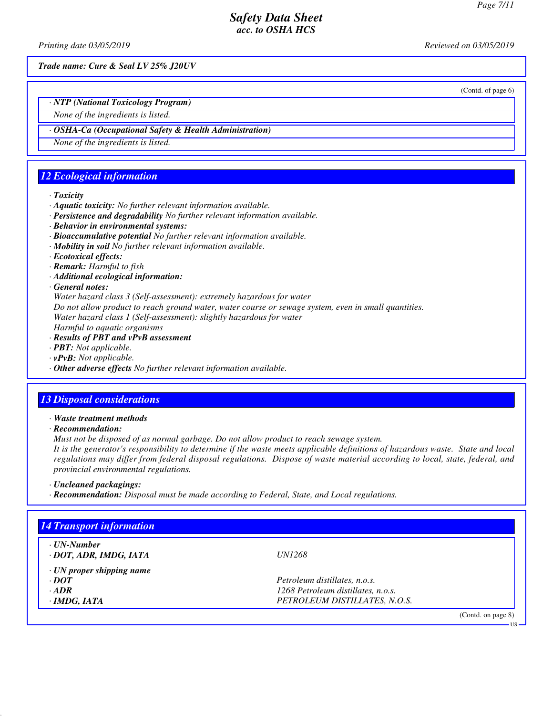*Printing date 03/05/2019 Reviewed on 03/05/2019*

*Trade name: Cure & Seal LV 25% J20UV*

(Contd. of page 6)

*· NTP (National Toxicology Program)*

*None of the ingredients is listed.*

## *· OSHA-Ca (Occupational Safety & Health Administration)*

*None of the ingredients is listed.*

# *12 Ecological information*

### *· Toxicity*

- *· Aquatic toxicity: No further relevant information available.*
- *· Persistence and degradability No further relevant information available.*
- *· Behavior in environmental systems:*
- *· Bioaccumulative potential No further relevant information available.*
- *· Mobility in soil No further relevant information available.*
- *· Ecotoxical effects:*
- *· Remark: Harmful to fish*
- *· Additional ecological information:*
- *· General notes:*

*Water hazard class 3 (Self-assessment): extremely hazardous for water*

*Do not allow product to reach ground water, water course or sewage system, even in small quantities.*

*Water hazard class 1 (Self-assessment): slightly hazardous for water*

- *Harmful to aquatic organisms · Results of PBT and vPvB assessment*
- *· PBT: Not applicable.*
- *· vPvB: Not applicable.*
- *· Other adverse effects No further relevant information available.*

# *13 Disposal considerations*

*· Waste treatment methods*

*· Recommendation:*

*Must not be disposed of as normal garbage. Do not allow product to reach sewage system.*

*It is the generator's responsibility to determine if the waste meets applicable definitions of hazardous waste. State and local regulations may differ from federal disposal regulations. Dispose of waste material according to local, state, federal, and provincial environmental regulations.*

*· Uncleaned packagings:*

*· Recommendation: Disposal must be made according to Federal, State, and Local regulations.*

| · UN-Number                     |                                    |  |
|---------------------------------|------------------------------------|--|
| · DOT, ADR, IMDG, IATA          | <i>UN1268</i>                      |  |
| $\cdot$ UN proper shipping name |                                    |  |
| $\cdot$ <i>DOT</i>              | Petroleum distillates, n.o.s.      |  |
| $\cdot$ ADR                     | 1268 Petroleum distillates, n.o.s. |  |
| · IMDG, IATA                    | PETROLEUM DISTILLATES, N.O.S.      |  |

US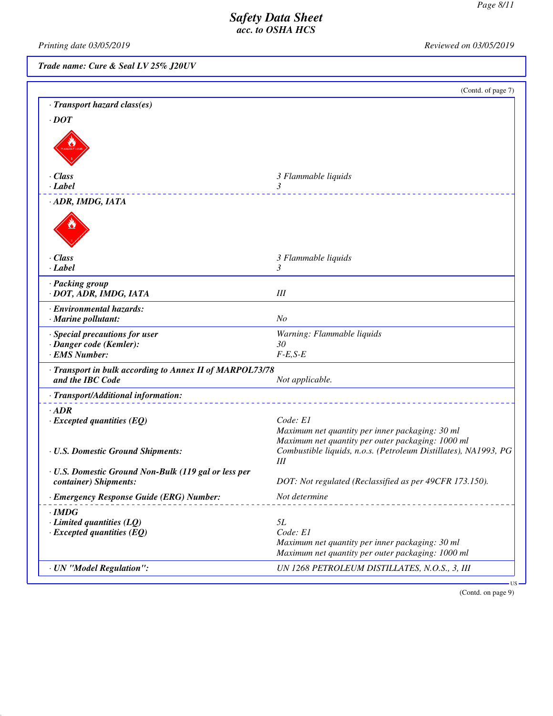*Printing date 03/05/2019 Reviewed on 03/05/2019* 

*Trade name: Cure & Seal LV 25% J20UV*

(Contd. of page 7)

| · Transport hazard class(es)                                                        |                                                                                                                        |
|-------------------------------------------------------------------------------------|------------------------------------------------------------------------------------------------------------------------|
| $\cdot$ DOT                                                                         |                                                                                                                        |
|                                                                                     |                                                                                                                        |
| $\cdot$ Class                                                                       | 3 Flammable liquids                                                                                                    |
| $\cdot$ <i>Label</i>                                                                | 3                                                                                                                      |
| · ADR, IMDG, IATA                                                                   |                                                                                                                        |
| · Class                                                                             | 3 Flammable liquids                                                                                                    |
| $\cdot$ Label                                                                       | 3                                                                                                                      |
| · Packing group<br>· DOT, ADR, IMDG, IATA                                           | Ш                                                                                                                      |
| · Environmental hazards:<br>· Marine pollutant:                                     | N <sub>O</sub>                                                                                                         |
| · Special precautions for user<br>· Danger code (Kemler):<br>· EMS Number:          | Warning: Flammable liquids<br>30<br>$F-E,S-E$                                                                          |
| · Transport in bulk according to Annex II of MARPOL73/78<br>and the IBC Code        | Not applicable.                                                                                                        |
| · Transport/Additional information:                                                 |                                                                                                                        |
| $\cdot$ ADR<br>$\cdot$ Excepted quantities (EQ)                                     | Code: E1<br>Maximum net quantity per inner packaging: 30 ml<br>Maximum net quantity per outer packaging: 1000 ml       |
| · U.S. Domestic Ground Shipments:                                                   | Combustible liquids, n.o.s. (Petroleum Distillates), NA1993, PG<br>Ш                                                   |
| · U.S. Domestic Ground Non-Bulk (119 gal or less per<br>container) Shipments:       | DOT: Not regulated (Reclassified as per 49CFR 173.150).                                                                |
| · Emergency Response Guide (ERG) Number:                                            | Not determine                                                                                                          |
| $\cdot$ IMDG<br>$\cdot$ Limited quantities (LQ)<br>$\cdot$ Excepted quantities (EQ) | 5L<br>Code: El<br>Maximum net quantity per inner packaging: 30 ml<br>Maximum net quantity per outer packaging: 1000 ml |
| · UN "Model Regulation":                                                            | UN 1268 PETROLEUM DISTILLATES, N.O.S., 3, III                                                                          |
|                                                                                     | $US -$                                                                                                                 |

(Contd. on page 9)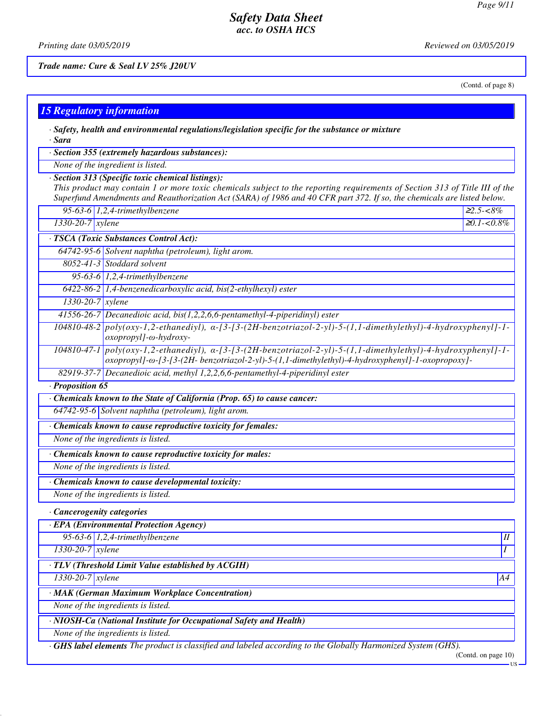*Printing date 03/05/2019 Reviewed on 03/05/2019*

*Trade name: Cure & Seal LV 25% J20UV*

(Contd. of page 8)

| <b>15 Regulatory information</b> |                                                                                                                                                                                                                                                                                                             |                |
|----------------------------------|-------------------------------------------------------------------------------------------------------------------------------------------------------------------------------------------------------------------------------------------------------------------------------------------------------------|----------------|
| · Sara                           | $\cdot$ Safety, health and environmental regulations/legislation specific for the substance or mixture                                                                                                                                                                                                      |                |
|                                  | · Section 355 (extremely hazardous substances):                                                                                                                                                                                                                                                             |                |
|                                  | None of the ingredient is listed.                                                                                                                                                                                                                                                                           |                |
|                                  | · Section 313 (Specific toxic chemical listings):<br>This product may contain 1 or more toxic chemicals subject to the reporting requirements of Section 313 of Title III of the<br>Superfund Amendments and Reauthorization Act (SARA) of 1986 and 40 CFR part 372. If so, the chemicals are listed below. |                |
|                                  | 95-63-6 $1,2,4$ -trimethylbenzene                                                                                                                                                                                                                                                                           | $22.5 - 8\%$   |
| 1330-20-7 xylene                 |                                                                                                                                                                                                                                                                                                             | $20.1 - 0.8\%$ |
|                                  | · TSCA (Toxic Substances Control Act):                                                                                                                                                                                                                                                                      |                |
|                                  | 64742-95-6 Solvent naphtha (petroleum), light arom.                                                                                                                                                                                                                                                         |                |
|                                  | 8052-41-3 Stoddard solvent                                                                                                                                                                                                                                                                                  |                |
|                                  | 95-63-6 $1,2,4$ -trimethylbenzene                                                                                                                                                                                                                                                                           |                |
|                                  | 6422-86-2 1,4-benzenedicarboxylic acid, bis(2-ethylhexyl) ester                                                                                                                                                                                                                                             |                |
| $1330 - 20 - 7$ xylene           |                                                                                                                                                                                                                                                                                                             |                |
|                                  | 41556-26-7 Decanedioic acid, bis(1,2,2,6,6-pentamethyl-4-piperidinyl) ester                                                                                                                                                                                                                                 |                |
|                                  | $104810-48-2$ poly(oxy-1,2-ethanediyl), $\alpha$ -[3-[3-(2H-benzotriazol-2-yl)-5-(1,1-dimethylethyl)-4-hydroxyphenyl]-1-<br>$oxopropyl$ ]- $\omega$ -hydroxy-                                                                                                                                               |                |
|                                  | $104810-47-1$ poly(oxy-1,2-ethanediyl), $\alpha$ -[3-[3-(2H-benzotriazol-2-yl)-5-(1,1-dimethylethyl)-4-hydroxyphenyl]-1-<br>oxopropyl]-@-[3-[3-(2H- benzotriazol-2-yl)-5-(1,1-dimethylethyl)-4-hydroxyphenyl]-1-oxopropoxy]-                                                                                |                |
|                                  | 82919-37-7 Decanedioic acid, methyl 1,2,2,6,6-pentamethyl-4-piperidinyl ester                                                                                                                                                                                                                               |                |
| · Proposition 65                 |                                                                                                                                                                                                                                                                                                             |                |
|                                  | Chemicals known to the State of California (Prop. 65) to cause cancer:                                                                                                                                                                                                                                      |                |
|                                  | 64742-95-6 Solvent naphtha (petroleum), light arom.                                                                                                                                                                                                                                                         |                |
|                                  | · Chemicals known to cause reproductive toxicity for females:                                                                                                                                                                                                                                               |                |
|                                  | None of the ingredients is listed.                                                                                                                                                                                                                                                                          |                |
|                                  | · Chemicals known to cause reproductive toxicity for males:                                                                                                                                                                                                                                                 |                |
|                                  | None of the ingredients is listed.                                                                                                                                                                                                                                                                          |                |
|                                  | Chemicals known to cause developmental toxicity:                                                                                                                                                                                                                                                            |                |
|                                  | None of the ingredients is listed.                                                                                                                                                                                                                                                                          |                |
| · Cancerogenity categories       |                                                                                                                                                                                                                                                                                                             |                |
|                                  | · EPA (Environmental Protection Agency)                                                                                                                                                                                                                                                                     |                |
|                                  | 95-63-6 $1,2,4$ -trimethylbenzene                                                                                                                                                                                                                                                                           | $I\!I$         |
| 1330-20-7 xylene                 |                                                                                                                                                                                                                                                                                                             | Ι              |
|                                  | · TLV (Threshold Limit Value established by ACGIH)                                                                                                                                                                                                                                                          |                |
| $1330-20-7$ xylene               |                                                                                                                                                                                                                                                                                                             | A4             |
|                                  | · MAK (German Maximum Workplace Concentration)                                                                                                                                                                                                                                                              |                |
|                                  | None of the ingredients is listed.                                                                                                                                                                                                                                                                          |                |
|                                  | · NIOSH-Ca (National Institute for Occupational Safety and Health)                                                                                                                                                                                                                                          |                |
|                                  | None of the ingredients is listed.                                                                                                                                                                                                                                                                          |                |
|                                  | <b>GHS label elements</b> The product is classified and labeled according to the Globally Harmonized System (GHS).                                                                                                                                                                                          |                |

(Contd. on page 10)  $-US -$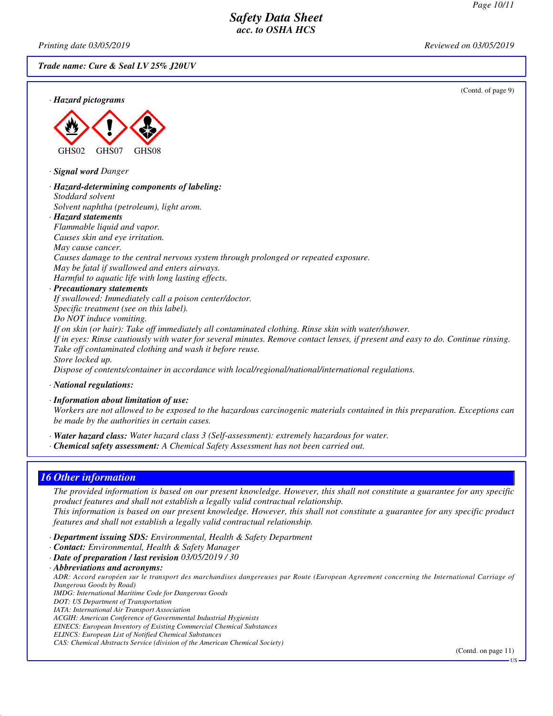*Printing date 03/05/2019 Reviewed on 03/05/2019*

*Trade name: Cure & Seal LV 25% J20UV*

(Contd. of page 9)





*· Signal word Danger*

*· Hazard-determining components of labeling: Stoddard solvent Solvent naphtha (petroleum), light arom. · Hazard statements Flammable liquid and vapor. Causes skin and eye irritation. May cause cancer. Causes damage to the central nervous system through prolonged or repeated exposure. May be fatal if swallowed and enters airways. Harmful to aquatic life with long lasting effects. · Precautionary statements If swallowed: Immediately call a poison center/doctor. Specific treatment (see on this label). Do NOT induce vomiting.*

*If on skin (or hair): Take off immediately all contaminated clothing. Rinse skin with water/shower. If in eyes: Rinse cautiously with water for several minutes. Remove contact lenses, if present and easy to do. Continue rinsing. Take off contaminated clothing and wash it before reuse. Store locked up.*

*Dispose of contents/container in accordance with local/regional/national/international regulations.*

*· National regulations:*

*· Information about limitation of use:*

*Workers are not allowed to be exposed to the hazardous carcinogenic materials contained in this preparation. Exceptions can be made by the authorities in certain cases.*

*· Water hazard class: Water hazard class 3 (Self-assessment): extremely hazardous for water.*

*· Chemical safety assessment: A Chemical Safety Assessment has not been carried out.*

# *16 Other information*

*The provided information is based on our present knowledge. However, this shall not constitute a guarantee for any specific product features and shall not establish a legally valid contractual relationship. This information is based on our present knowledge. However, this shall not constitute a guarantee for any specific product features and shall not establish a legally valid contractual relationship.*

*· Department issuing SDS: Environmental, Health & Safety Department*

- *· Contact: Environmental, Health & Safety Manager*
- *· Date of preparation / last revision 03/05/2019 / 30*

*· Abbreviations and acronyms: ADR: Accord européen sur le transport des marchandises dangereuses par Route (European Agreement concerning the International Carriage of Dangerous Goods by Road) IMDG: International Maritime Code for Dangerous Goods DOT: US Department of Transportation IATA: International Air Transport Association ACGIH: American Conference of Governmental Industrial Hygienists EINECS: European Inventory of Existing Commercial Chemical Substances ELINCS: European List of Notified Chemical Substances CAS: Chemical Abstracts Service (division of the American Chemical Society)*